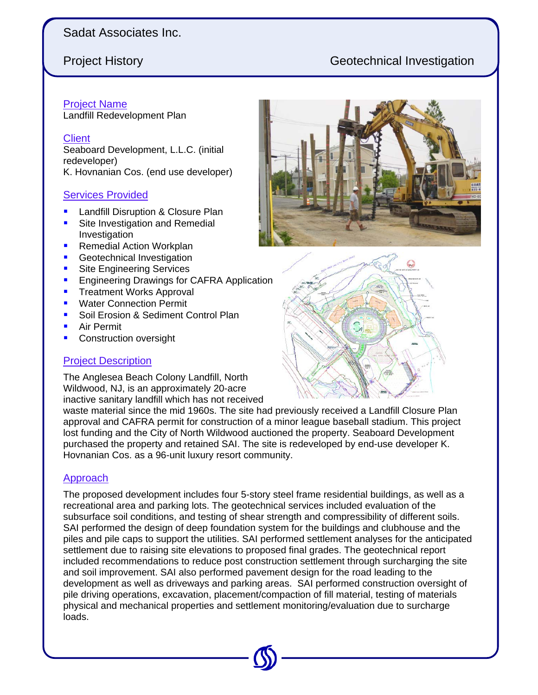# Sadat Associates Inc.

# Project History Geotechnical Investigation

## Project Name

Landfill Redevelopment Plan

#### **Client**

Seaboard Development, L.L.C. (initial redeveloper) K. Hovnanian Cos. (end use developer)

#### Services Provided

- **Landfill Disruption & Closure Plan**
- Site Investigation and Remedial Investigation
- Remedial Action Workplan
- **Geotechnical Investigation**
- **Site Engineering Services**
- **Engineering Drawings for CAFRA Application**
- **Treatment Works Approval**
- **Water Connection Permit**
- Soil Erosion & Sediment Control Plan
- Air Permit
- **Construction oversight**

## Project Description

The Anglesea Beach Colony Landfill, North Wildwood, NJ, is an approximately 20-acre inactive sanitary landfill which has not received

waste material since the mid 1960s. The site had previously received a Landfill Closure Plan approval and CAFRA permit for construction of a minor league baseball stadium. This project lost funding and the City of North Wildwood auctioned the property. Seaboard Development purchased the property and retained SAI. The site is redeveloped by end-use developer K. Hovnanian Cos. as a 96-unit luxury resort community.

### Approach

The proposed development includes four 5-story steel frame residential buildings, as well as a recreational area and parking lots. The geotechnical services included evaluation of the subsurface soil conditions, and testing of shear strength and compressibility of different soils. SAI performed the design of deep foundation system for the buildings and clubhouse and the piles and pile caps to support the utilities. SAI performed settlement analyses for the anticipated settlement due to raising site elevations to proposed final grades. The geotechnical report included recommendations to reduce post construction settlement through surcharging the site and soil improvement. SAI also performed pavement design for the road leading to the development as well as driveways and parking areas. SAI performed construction oversight of pile driving operations, excavation, placement/compaction of fill material, testing of materials physical and mechanical properties and settlement monitoring/evaluation due to surcharge loads.